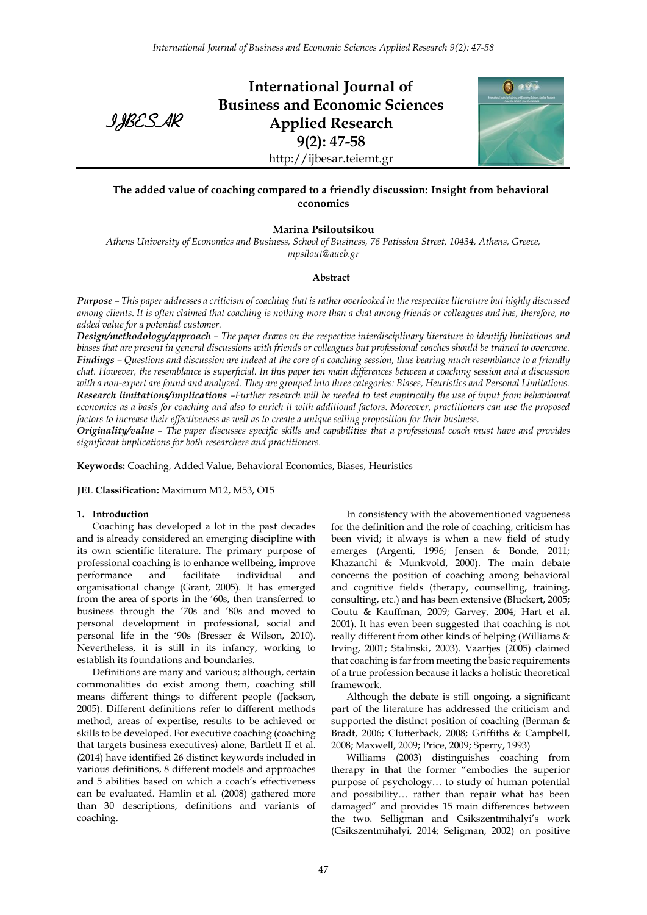IJBESAR

**International Journal of Business and Economic Sciences Applied Research 9(2): 47-58** http://ijbesar.teiemt.gr



# **The added value of coaching compared to a friendly discussion: Insight from behavioral economics**

# **Marina Psiloutsikou**

*Athens University of Economics and Business, School of Business, 76 Patission Street, 10434, Athens, Greece, mpsilout@aueb.gr*

### **Abstract**

*Purpose – This paper addresses a criticism of coaching that is rather overlooked in the respective literature but highly discussed among clients. It is often claimed that coaching is nothing more than a chat among friends or colleagues and has, therefore, no added value for a potential customer.* 

*Design/methodology/approach – The paper draws on the respective interdisciplinary literature to identify limitations and biases that are present in general discussions with friends or colleagues but professional coaches should be trained to overcome. Findings – Questions and discussion are indeed at the core of a coaching session, thus bearing much resemblance to a friendly chat. However, the resemblance is superficial. In this paper ten main differences between a coaching session and a discussion with a non-expert are found and analyzed. They are grouped into three categories: Biases, Heuristics and Personal Limitations. Research limitations/implications –Further research will be needed to test empirically the use of input from behavioural economics as a basis for coaching and also to enrich it with additional factors. Moreover, practitioners can use the proposed factors to increase their effectiveness as well as to create a unique selling proposition for their business.*

*Originality/value – The paper discusses specific skills and capabilities that a professional coach must have and provides significant implications for both researchers and practitioners.*

**Keywords:** Coaching, Added Value, Behavioral Economics, Biases, Heuristics

# **JEL Classification:** Maximum M12, M53, O15

# **1. Introduction**

Coaching has developed a lot in the past decades and is already considered an emerging discipline with its own scientific literature. The primary purpose of professional coaching is to enhance wellbeing, improve performance and facilitate individual and organisational change (Grant, 2005). It has emerged from the area of sports in the '60s, then transferred to business through the '70s and '80s and moved to personal development in professional, social and personal life in the '90s (Bresser & Wilson, 2010). Nevertheless, it is still in its infancy, working to establish its foundations and boundaries.

Definitions are many and various; although, certain commonalities do exist among them, coaching still means different things to different people (Jackson, 2005). Different definitions refer to different methods method, areas of expertise, results to be achieved or skills to be developed. For executive coaching (coaching that targets business executives) alone, Bartlett II et al. (2014) have identified 26 distinct keywords included in various definitions, 8 different models and approaches and 5 abilities based on which a coach's effectiveness can be evaluated. Hamlin et al. (2008) gathered more than 30 descriptions, definitions and variants of coaching.

In consistency with the abovementioned vagueness for the definition and the role of coaching, criticism has been vivid; it always is when a new field of study emerges (Argenti, 1996; Jensen & Bonde, 2011; Khazanchi & Munkvold, 2000). The main debate concerns the position of coaching among behavioral and cognitive fields (therapy, counselling, training, consulting, etc.) and has been extensive (Bluckert, 2005; Coutu & Kauffman, 2009; Garvey, 2004; Hart et al. 2001). It has even been suggested that coaching is not really different from other kinds of helping (Williams & Irving, 2001; Stalinski, 2003). Vaartjes (2005) claimed that coaching is far from meeting the basic requirements of a true profession because it lacks a holistic theoretical framework.

Although the debate is still ongoing, a significant part of the literature has addressed the criticism and supported the distinct position of coaching (Berman & Bradt, 2006; Clutterback, 2008; Griffiths & Campbell, 2008; Maxwell, 2009; Price, 2009; Sperry, 1993)

Williams (2003) distinguishes coaching from therapy in that the former "embodies the superior purpose of psychology… to study of human potential and possibility… rather than repair what has been damaged" and provides 15 main differences between the two. Selligman and Csikszentmihalyi's work (Csikszentmihalyi, 2014; Seligman, 2002) on positive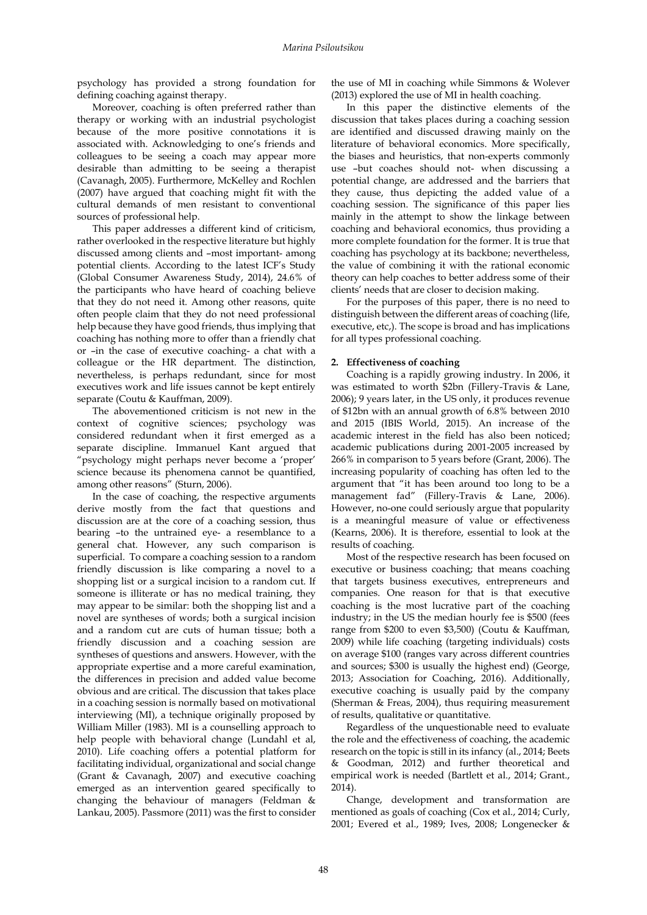psychology has provided a strong foundation for defining coaching against therapy.

Moreover, coaching is often preferred rather than therapy or working with an industrial psychologist because of the more positive connotations it is associated with. Acknowledging to one's friends and colleagues to be seeing a coach may appear more desirable than admitting to be seeing a therapist (Cavanagh, 2005). Furthermore, McKelley and Rochlen (2007) have argued that coaching might fit with the cultural demands of men resistant to conventional sources of professional help.

This paper addresses a different kind of criticism, rather overlooked in the respective literature but highly discussed among clients and –most important- among potential clients. According to the latest ICF's Study (Global Consumer Awareness Study, 2014), 24.6% of the participants who have heard of coaching believe that they do not need it. Among other reasons, quite often people claim that they do not need professional help because they have good friends, thus implying that coaching has nothing more to offer than a friendly chat or –in the case of executive coaching- a chat with a colleague or the HR department. The distinction, nevertheless, is perhaps redundant, since for most executives work and life issues cannot be kept entirely separate (Coutu & Kauffman, 2009).

The abovementioned criticism is not new in the context of cognitive sciences; psychology was considered redundant when it first emerged as a separate discipline. Immanuel Kant argued that "psychology might perhaps never become a 'proper' science because its phenomena cannot be quantified, among other reasons" (Sturn, 2006).

In the case of coaching, the respective arguments derive mostly from the fact that questions and discussion are at the core of a coaching session, thus bearing –to the untrained eye- a resemblance to a general chat. However, any such comparison is superficial. To compare a coaching session to a random friendly discussion is like comparing a novel to a shopping list or a surgical incision to a random cut. If someone is illiterate or has no medical training, they may appear to be similar: both the shopping list and a novel are syntheses of words; both a surgical incision and a random cut are cuts of human tissue; both a friendly discussion and a coaching session are syntheses of questions and answers. However, with the appropriate expertise and a more careful examination, the differences in precision and added value become obvious and are critical. The discussion that takes place in a coaching session is normally based on motivational interviewing (MI), a technique originally proposed by William Miller (1983). MI is a counselling approach to help people with behavioral change (Lundahl et al, 2010). Life coaching offers a potential platform for facilitating individual, organizational and social change (Grant & Cavanagh, 2007) and executive coaching emerged as an intervention geared specifically to changing the behaviour of managers (Feldman & Lankau, 2005). Passmore (2011) was the first to consider

the use of MI in coaching while Simmons & Wolever (2013) explored the use of MI in health coaching.

In this paper the distinctive elements of the discussion that takes places during a coaching session are identified and discussed drawing mainly on the literature of behavioral economics. More specifically, the biases and heuristics, that non-experts commonly use –but coaches should not- when discussing a potential change, are addressed and the barriers that they cause, thus depicting the added value of a coaching session. The significance of this paper lies mainly in the attempt to show the linkage between coaching and behavioral economics, thus providing a more complete foundation for the former. It is true that coaching has psychology at its backbone; nevertheless, the value of combining it with the rational economic theory can help coaches to better address some of their clients' needs that are closer to decision making.

For the purposes of this paper, there is no need to distinguish between the different areas of coaching (life, executive, etc,). The scope is broad and has implications for all types professional coaching.

### **2. Effectiveness of coaching**

Coaching is a rapidly growing industry. In 2006, it was estimated to worth \$2bn (Fillery-Travis & Lane, 2006); 9 years later, in the US only, it produces revenue of \$12bn with an annual growth of 6.8% between 2010 and 2015 (IBIS World, 2015). An increase of the academic interest in the field has also been noticed; academic publications during 2001-2005 increased by 266% in comparison to 5 years before (Grant, 2006). The increasing popularity of coaching has often led to the argument that "it has been around too long to be a management fad" (Fillery-Travis & Lane, 2006). However, no-one could seriously argue that popularity is a meaningful measure of value or effectiveness (Kearns, 2006). It is therefore, essential to look at the results of coaching.

Most of the respective research has been focused on executive or business coaching; that means coaching that targets business executives, entrepreneurs and companies. One reason for that is that executive coaching is the most lucrative part of the coaching industry; in the US the median hourly fee is \$500 (fees range from \$200 to even \$3,500) (Coutu & Kauffman, 2009) while life coaching (targeting individuals) costs on average \$100 (ranges vary across different countries and sources; \$300 is usually the highest end) (George, 2013; Association for Coaching, 2016). Additionally, executive coaching is usually paid by the company (Sherman & Freas, 2004), thus requiring measurement of results, qualitative or quantitative.

Regardless of the unquestionable need to evaluate the role and the effectiveness of coaching, the academic research on the topic is still in its infancy (al., 2014; Beets & Goodman, 2012) and further theoretical and empirical work is needed (Bartlett et al., 2014; Grant., 2014).

Change, development and transformation are mentioned as goals of coaching (Cox et al., 2014; Curly, 2001; Evered et al., 1989; Ives, 2008; Longenecker &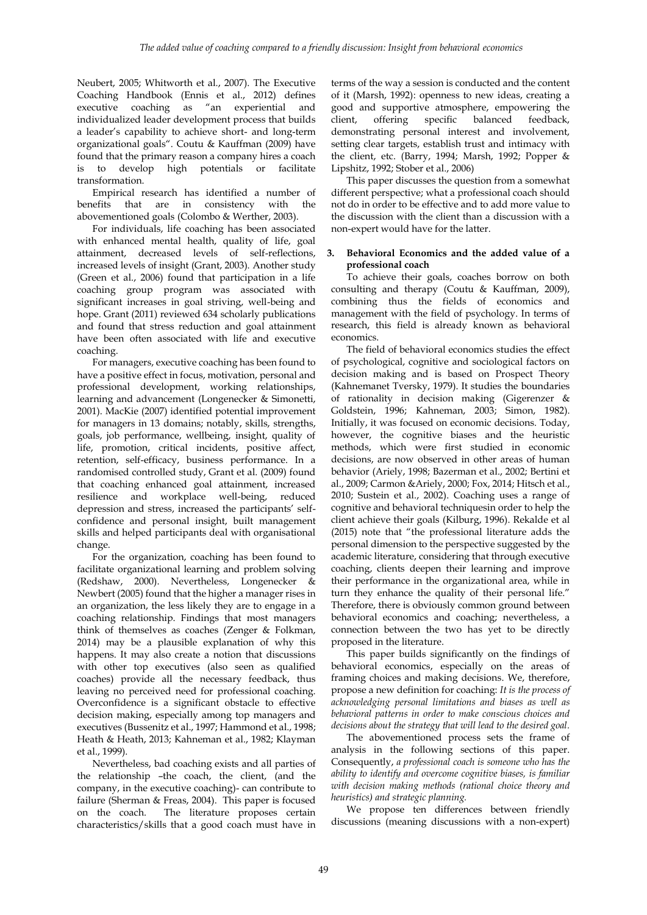Neubert, 2005; Whitworth et al., 2007). The Executive Coaching Handbook (Ennis et al., 2012) defines executive coaching as "an experiential and individualized leader development process that builds a leader's capability to achieve short- and long-term organizational goals". Coutu & Kauffman (2009) have found that the primary reason a company hires a coach is to develop high potentials or facilitate transformation.

Empirical research has identified a number of benefits that are in consistency with the abovementioned goals (Colombo & Werther, 2003).

For individuals, life coaching has been associated with enhanced mental health, quality of life, goal attainment, decreased levels of self-reflections, increased levels of insight (Grant, 2003). Another study (Green et al., 2006) found that participation in a life coaching group program was associated with significant increases in goal striving, well-being and hope. Grant (2011) reviewed 634 scholarly publications and found that stress reduction and goal attainment have been often associated with life and executive coaching.

For managers, executive coaching has been found to have a positive effect in focus, motivation, personal and professional development, working relationships, learning and advancement (Longenecker & Simonetti, 2001). MacKie (2007) identified potential improvement for managers in 13 domains; notably, skills, strengths, goals, job performance, wellbeing, insight, quality of life, promotion, critical incidents, positive affect, retention, self-efficacy, business performance. In a randomised controlled study, Grant et al. (2009) found that coaching enhanced goal attainment, increased resilience and workplace well-being, reduced depression and stress, increased the participants' selfconfidence and personal insight, built management skills and helped participants deal with organisational change.

For the organization, coaching has been found to facilitate organizational learning and problem solving (Redshaw, 2000). Nevertheless, Longenecker & Newbert (2005) found that the higher a manager rises in an organization, the less likely they are to engage in a coaching relationship. Findings that most managers think of themselves as coaches (Zenger & Folkman, 2014) may be a plausible explanation of why this happens. It may also create a notion that discussions with other top executives (also seen as qualified coaches) provide all the necessary feedback, thus leaving no perceived need for professional coaching. Overconfidence is a significant obstacle to effective decision making, especially among top managers and executives (Bussenitz et al., 1997; Hammond et al., 1998; Heath & Heath, 2013; Kahneman et al., 1982; Klayman et al., 1999).

Nevertheless, bad coaching exists and all parties of the relationship –the coach, the client, (and the company, in the executive coaching)- can contribute to failure (Sherman & Freas, 2004). This paper is focused<br>on the coach. The literature proposes certain The literature proposes certain characteristics/skills that a good coach must have in

terms of the way a session is conducted and the content of it (Marsh, 1992): openness to new ideas, creating a good and supportive atmosphere, empowering the client, offering specific balanced feedback, demonstrating personal interest and involvement, setting clear targets, establish trust and intimacy with the client, etc. (Barry, 1994; Marsh, 1992; Popper & Lipshitz, 1992; Stober et al., 2006)

This paper discusses the question from a somewhat different perspective; what a professional coach should not do in order to be effective and to add more value to the discussion with the client than a discussion with a non-expert would have for the latter.

# **3. Behavioral Economics and the added value of a professional coach**

To achieve their goals, coaches borrow on both consulting and therapy (Coutu & Kauffman, 2009), combining thus the fields of economics and management with the field of psychology. In terms of research, this field is already known as behavioral economics.

The field of behavioral economics studies the effect of psychological, cognitive and sociological factors on decision making and is based on Prospect Theory (Kahnemanet Tversky, 1979). It studies the boundaries of rationality in decision making (Gigerenzer & Goldstein, 1996; Kahneman, 2003; Simon, 1982). Initially, it was focused on economic decisions. Today, however, the cognitive biases and the heuristic methods, which were first studied in economic decisions, are now observed in other areas of human behavior (Ariely, 1998; Bazerman et al., 2002; Bertini et al., 2009; Carmon &Ariely, 2000; Fox, 2014; Hitsch et al., 2010; Sustein et al., 2002). Coaching uses a range of cognitive and behavioral techniquesin order to help the client achieve their goals (Kilburg, 1996). Rekalde et al (2015) note that "the professional literature adds the personal dimension to the perspective suggested by the academic literature, considering that through executive coaching, clients deepen their learning and improve their performance in the organizational area, while in turn they enhance the quality of their personal life." Therefore, there is obviously common ground between behavioral economics and coaching; nevertheless, a connection between the two has yet to be directly proposed in the literature.

This paper builds significantly on the findings of behavioral economics, especially on the areas of framing choices and making decisions. We, therefore, propose a new definition for coaching: *It is the process of acknowledging personal limitations and biases as well as behavioral patterns in order to make conscious choices and decisions about the strategy that will lead to the desired goal.*

The abovementioned process sets the frame of analysis in the following sections of this paper. Consequently, *a professional coach is someone who has the ability to identify and overcome cognitive biases, is familiar with decision making methods (rational choice theory and heuristics) and strategic planning.*

We propose ten differences between friendly discussions (meaning discussions with a non-expert)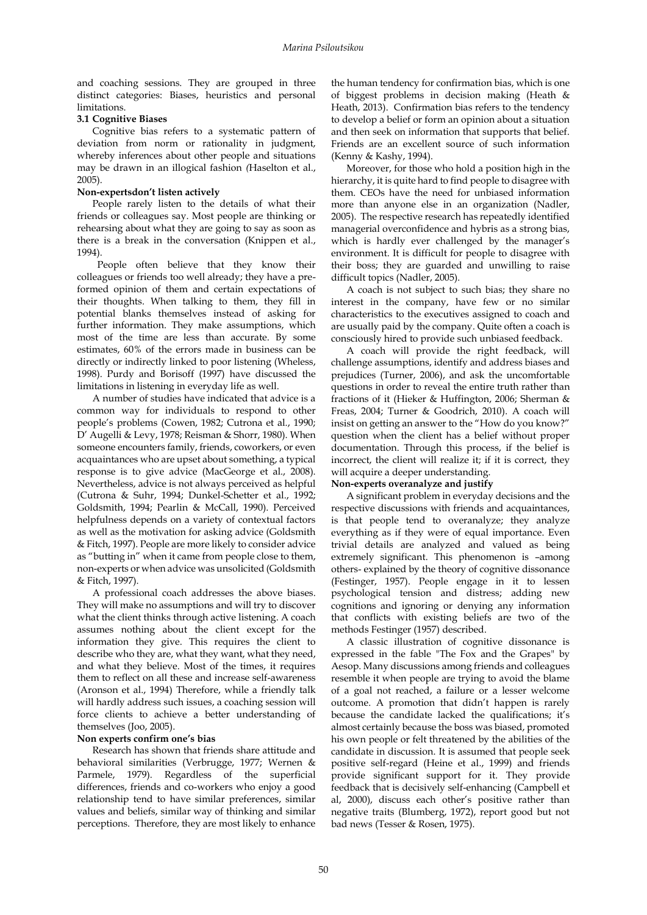and coaching sessions. They are grouped in three distinct categories: Biases, heuristics and personal limitations.

# **3.1 Cognitive Biases**

Cognitive bias refers to a systematic pattern of deviation from norm or rationality in judgment, whereby inferences about other people and situations may be drawn in an illogical fashion *(*Haselton et al., 2005).

### **Non-expertsdon't listen actively**

People rarely listen to the details of what their friends or colleagues say. Most people are thinking or rehearsing about what they are going to say as soon as there is a break in the conversation (Knippen et al., 1994).

 People often believe that they know their colleagues or friends too well already; they have a preformed opinion of them and certain expectations of their thoughts. When talking to them, they fill in potential blanks themselves instead of asking for further information. They make assumptions, which most of the time are less than accurate. By some estimates, 60% of the errors made in business can be directly or indirectly linked to poor listening (Wheless, 1998). Purdy and Borisoff (1997) have discussed the limitations in listening in everyday life as well.

A number of studies have indicated that advice is a common way for individuals to respond to other people's problems (Cowen, 1982; Cutrona et al., 1990; D' Augelli & Levy, 1978; Reisman & Shorr, 1980). When someone encounters family, friends, coworkers, or even acquaintances who are upset about something, a typical response is to give advice (MacGeorge et al., 2008). Nevertheless, advice is not always perceived as helpful (Cutrona & Suhr, 1994; Dunkel-Schetter et al., 1992; Goldsmith, 1994; Pearlin & McCall, 1990). Perceived helpfulness depends on a variety of contextual factors as well as the motivation for asking advice (Goldsmith & Fitch, 1997). People are more likely to consider advice as "butting in" when it came from people close to them, non-experts or when advice was unsolicited (Goldsmith & Fitch, 1997).

A professional coach addresses the above biases. They will make no assumptions and will try to discover what the client thinks through active listening. A coach assumes nothing about the client except for the information they give. This requires the client to describe who they are, what they want, what they need, and what they believe. Most of the times, it requires them to reflect on all these and increase self-awareness (Aronson et al., 1994) Therefore, while a friendly talk will hardly address such issues, a coaching session will force clients to achieve a better understanding of themselves (Joo, 2005).

# **Non experts confirm one's bias**

Research has shown that friends share attitude and behavioral similarities (Verbrugge, 1977; Wernen & Parmele, 1979). Regardless of the superficial differences, friends and co-workers who enjoy a good relationship tend to have similar preferences, similar values and beliefs, similar way of thinking and similar perceptions. Therefore, they are most likely to enhance

the human tendency for confirmation bias, which is one of biggest problems in decision making (Heath & Heath, 2013). Confirmation bias refers to the tendency to develop a belief or form an opinion about a situation and then seek on information that supports that belief. Friends are an excellent source of such information (Kenny & Kashy, 1994).

Moreover, for those who hold a position high in the hierarchy, it is quite hard to find people to disagree with them. CEOs have the need for unbiased information more than anyone else in an organization (Nadler, 2005). The respective research has repeatedly identified managerial overconfidence and hybris as a strong bias, which is hardly ever challenged by the manager's environment. It is difficult for people to disagree with their boss; they are guarded and unwilling to raise difficult topics (Nadler, 2005).

A coach is not subject to such bias; they share no interest in the company, have few or no similar characteristics to the executives assigned to coach and are usually paid by the company. Quite often a coach is consciously hired to provide such unbiased feedback.

A coach will provide the right feedback, will challenge assumptions, identify and address biases and prejudices (Turner, 2006), and ask the uncomfortable questions in order to reveal the entire truth rather than fractions of it (Hieker & Huffington, 2006; Sherman & Freas, 2004; Turner & Goodrich, 2010). A coach will insist on getting an answer to the "How do you know?" question when the client has a belief without proper documentation. Through this process, if the belief is incorrect, the client will realize it; if it is correct, they will acquire a deeper understanding.

# **Non-experts overanalyze and justify**

A significant problem in everyday decisions and the respective discussions with friends and acquaintances, is that people tend to overanalyze; they analyze everything as if they were of equal importance. Even trivial details are analyzed and valued as being extremely significant. This phenomenon is –among others- explained by the theory of cognitive dissonance (Festinger, 1957). People engage in it to lessen psychological tension and distress; adding new cognitions and ignoring or denying any information that conflicts with existing beliefs are two of the methods Festinger (1957) described.

A classic illustration of cognitive dissonance is expressed in the fable ["The Fox and the Grapes"](https://en.wikipedia.org/wiki/The_Fox_and_the_Grapes) by [Aesop.](https://en.wikipedia.org/wiki/Aesop) Many discussions among friends and colleagues resemble it when people are trying to avoid the blame of a goal not reached, a failure or a lesser welcome outcome. A promotion that didn't happen is rarely because the candidate lacked the qualifications; it's almost certainly because the boss was biased, promoted his own people or felt threatened by the abilities of the candidate in discussion. It is assumed that people seek positive self-regard (Heine et al., 1999) and friends provide significant support for it. They provide feedback that is decisively self-enhancing (Campbell et al, 2000), discuss each other's positive rather than negative traits (Blumberg, 1972), report good but not bad news (Tesser & Rosen, 1975).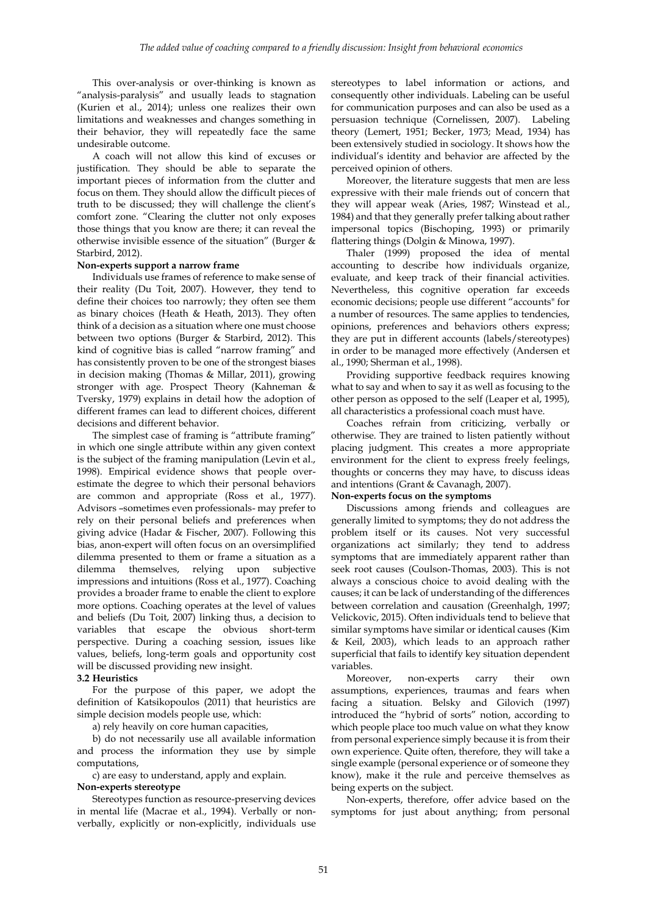This over-analysis or over-thinking is known as "analysis-paralysis" and usually leads to stagnation (Kurien et al., 2014); unless one realizes their own limitations and weaknesses and changes something in their behavior, they will repeatedly face the same undesirable outcome.

A coach will not allow this kind of excuses or justification. They should be able to separate the important pieces of information from the clutter and focus on them. They should allow the difficult pieces of truth to be discussed; they will challenge the client's comfort zone. "Clearing the clutter not only exposes those things that you know are there; it can reveal the otherwise invisible essence of the situation" (Burger & Starbird, 2012).

### **Non-experts support a narrow frame**

Individuals use frames of reference to make sense of their reality (Du Toit, 2007). However, they tend to define their choices too narrowly; they often see them as binary choices (Heath & Heath, 2013). They often think of a decision as a situation where one must choose between two options (Burger & Starbird, 2012). This kind of cognitive bias is called "narrow framing" and has consistently proven to be one of the strongest biases in decision making (Thomas & Millar, 2011), growing stronger with age. Prospect Theory (Kahneman & Tversky, 1979) explains in detail how the adoption of different frames can lead to different choices, different decisions and different behavior.

The simplest case of framing is "attribute framing" in which one single attribute within any given context is the subject of the framing manipulation (Levin et al., 1998). Empirical evidence shows that people overestimate the degree to which their personal behaviors are common and appropriate (Ross et al., 1977). Advisors –sometimes even professionals- may prefer to rely on their personal beliefs and preferences when giving advice (Hadar & Fischer, 2007). Following this bias, anon-expert will often focus on an oversimplified dilemma presented to them or frame a situation as a dilemma themselves, relying upon subjective impressions and intuitions (Ross et al., 1977). Coaching provides a broader frame to enable the client to explore more options. Coaching operates at the level of values and beliefs (Du Toit, 2007) linking thus, a decision to variables that escape the obvious short-term perspective. During a coaching session, issues like values, beliefs, long-term goals and opportunity cost will be discussed providing new insight.

#### **3.2 Heuristics**

For the purpose of this paper, we adopt the definition of Katsikopoulos (2011) that heuristics are simple decision models people use, which:

a) rely heavily on core human capacities,

b) do not necessarily use all available information and process the information they use by simple computations,

c) are easy to understand, apply and explain.

#### **Non-experts stereotype**

Stereotypes function as resource-preserving devices in mental life (Macrae et al., 1994). Verbally or nonverbally, explicitly or non-explicitly, individuals use stereotypes to label information or actions, and consequently other individuals. Labeling can be useful for communication purposes and can also be used as a persuasion technique [\(Cornelissen,](http://www.sciencedirect.com/science/article/pii/S0167811607000420) 2007). Labeling theory (Lemert, 1951; Becker, 1973; Mead, 1934) has been extensively studied in sociology. It shows how the individual's identity and behavior are affected by the perceived opinion of others.

Moreover, the literature suggests that men are less expressive with their male friends out of concern that they will appear weak (Aries, 1987; Winstead et al., 1984) and that they generally prefer talking about rather impersonal topics (Bischoping, 1993) or primarily flattering things (Dolgin & Minowa, 1997).

Thaler (1999) proposed the idea of mental accounting to describe how individuals organize, evaluate, and keep track of their financial activities. Nevertheless, this cognitive operation far exceeds economic decisions; people use different "accounts" for a number of resources. The same applies to tendencies, opinions, preferences and behaviors others express; they are put in different accounts (labels/stereotypes) in order to be managed more effectively (Andersen et al., 1990; Sherman et al., 1998).

Providing supportive feedback requires knowing what to say and when to say it as well as focusing to the other person as opposed to the self (Leaper et al, 1995), all characteristics a professional coach must have.

Coaches refrain from criticizing, verbally or otherwise. They are trained to listen patiently without placing judgment. This creates a more appropriate environment for the client to express freely feelings, thoughts or concerns they may have, to discuss ideas and intentions (Grant & Cavanagh, 2007).

### **Non-experts focus on the symptoms**

Discussions among friends and colleagues are generally limited to symptoms; they do not address the problem itself or its causes. Not very successful organizations act similarly; they tend to address symptoms that are immediately apparent rather than seek root causes (Coulson-Thomas, 2003). This is not always a conscious choice to avoid dealing with the causes; it can be lack of understanding of the differences between correlation and causation (Greenhalgh, 1997; Velickovic, 2015). Often individuals tend to believe that similar symptoms have similar or identical causes (Kim & Keil, 2003), which leads to an approach rather superficial that fails to identify key situation dependent variables.

Moreover, non-experts carry their own assumptions, experiences, traumas and fears when facing a situation. Belsky and Gilovich (1997) introduced the "hybrid of sorts" notion, according to which people place too much value on what they know from personal experience simply because it is from their own experience. Quite often, therefore, they will take a single example (personal experience or of someone they know), make it the rule and perceive themselves as being experts on the subject.

Non-experts, therefore, offer advice based on the symptoms for just about anything; from personal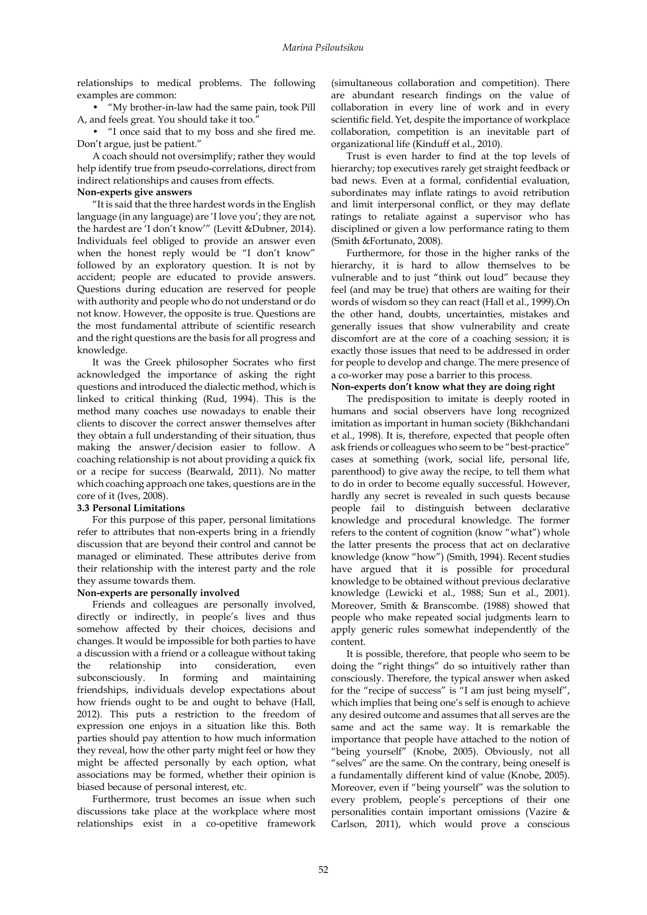relationships to medical problems. The following examples are common:

• "My brother-in-law had the same pain, took Pill A, and feels great. You should take it too."

• "I once said that to my boss and she fired me. Don't argue, just be patient."

A coach should not oversimplify; rather they would help identify true from pseudo-correlations, direct from indirect relationships and causes from effects.

### **Non-experts give answers**

"It is said that the three hardest words in the English language (in any language) are 'I love you'; they are not, the hardest are 'I don't know'" (Levitt &Dubner, 2014). Individuals feel obliged to provide an answer even when the honest reply would be "I don't know" followed by an exploratory question. It is not by accident; people are educated to provide answers. Questions during education are reserved for people with authority and people who do not understand or do not know. However, the opposite is true. Questions are the most fundamental attribute of scientific research and the right questions are the basis for all progress and knowledge.

It was the Greek philosopher Socrates who first acknowledged the importance of asking the right questions and introduced the dialectic method, which is linked to critical thinking (Rud, 1994). This is the method many coaches use nowadays to enable their clients to discover the correct answer themselves after they obtain a full understanding of their situation, thus making the answer/decision easier to follow. A coaching relationship is not about providing a quick fix or a recipe for success (Bearwald, 2011). No matter which coaching approach one takes, questions are in the core of it (Ives, 2008).

# **3.3 Personal Limitations**

For this purpose of this paper, personal limitations refer to attributes that non-experts bring in a friendly discussion that are beyond their control and cannot be managed or eliminated. These attributes derive from their relationship with the interest party and the role they assume towards them.

# **Non-experts are personally involved**

Friends and colleagues are personally involved, directly or indirectly, in people's lives and thus somehow affected by their choices, decisions and changes. It would be impossible for both parties to have a discussion with a friend or a colleague without taking<br>the relationship into consideration, even the relationship into consideration, even subconsciously. In forming and maintaining friendships, individuals develop expectations about how friends ought to be and ought to behave (Hall, 2012). This puts a restriction to the freedom of expression one enjoys in a situation like this. Both parties should pay attention to how much information they reveal, how the other party might feel or how they might be affected personally by each option, what associations may be formed, whether their opinion is biased because of personal interest, etc.

Furthermore, trust becomes an issue when such discussions take place at the workplace where most relationships exist in a co-opetitive framework

(simultaneous collaboration and competition). There are abundant research findings on the value of collaboration in every line of work and in every scientific field. Yet, despite the importance of workplace collaboration, competition is an inevitable part of organizational life (Kinduff et al., 2010).

Trust is even harder to find at the top levels of hierarchy; top executives rarely get straight feedback or bad news. Even at a formal, confidential evaluation, subordinates may inflate ratings to avoid retribution and limit interpersonal conflict, or they may deflate ratings to retaliate against a supervisor who has disciplined or given a low performance rating to them (Smith &Fortunato, 2008).

Furthermore, for those in the higher ranks of the hierarchy, it is hard to allow themselves to be vulnerable and to just "think out loud" because they feel (and may be true) that others are waiting for their words of wisdom so they can react (Hall et al., 1999).On the other hand, doubts, uncertainties, mistakes and generally issues that show vulnerability and create discomfort are at the core of a coaching session; it is exactly those issues that need to be addressed in order for people to develop and change. The mere presence of a co-worker may pose a barrier to this process.

# **Non-experts don't know what they are doing right**

The predisposition to imitate is deeply rooted in humans and social observers have long recognized imitation as important in human society (Bikhchandani et al., 1998). It is, therefore, expected that people often ask friends or colleagues who seem to be "best-practice" cases at something (work, social life, personal life, parenthood) to give away the recipe, to tell them what to do in order to become equally successful. However, hardly any secret is revealed in such quests because people fail to distinguish between declarative knowledge and procedural knowledge. The former refers to the content of cognition (know "what") whole the latter presents the process that act on declarative knowledge (know "how") (Smith, 1994). Recent studies have argued that it is possible for procedural knowledge to be obtained without previous declarative knowledge (Lewicki et al., 1988; Sun et al., 2001). Moreover, Smith & Branscombe. (1988) showed that people who make repeated social judgments learn to apply generic rules somewhat independently of the content.

It is possible, therefore, that people who seem to be doing the "right things" do so intuitively rather than consciously. Therefore, the typical answer when asked for the "recipe of success" is "I am just being myself", which implies that being one's self is enough to achieve any desired outcome and assumes that all serves are the same and act the same way. It is remarkable the importance that people have attached to the notion of "being yourself" (Knobe, 2005). Obviously, not all "selves" are the same. On the contrary, being oneself is a fundamentally different kind of value (Knobe, 2005). Moreover, even if "being yourself" was the solution to every problem, people's perceptions of their one personalities contain important omissions (Vazire & Carlson, 2011), which would prove a conscious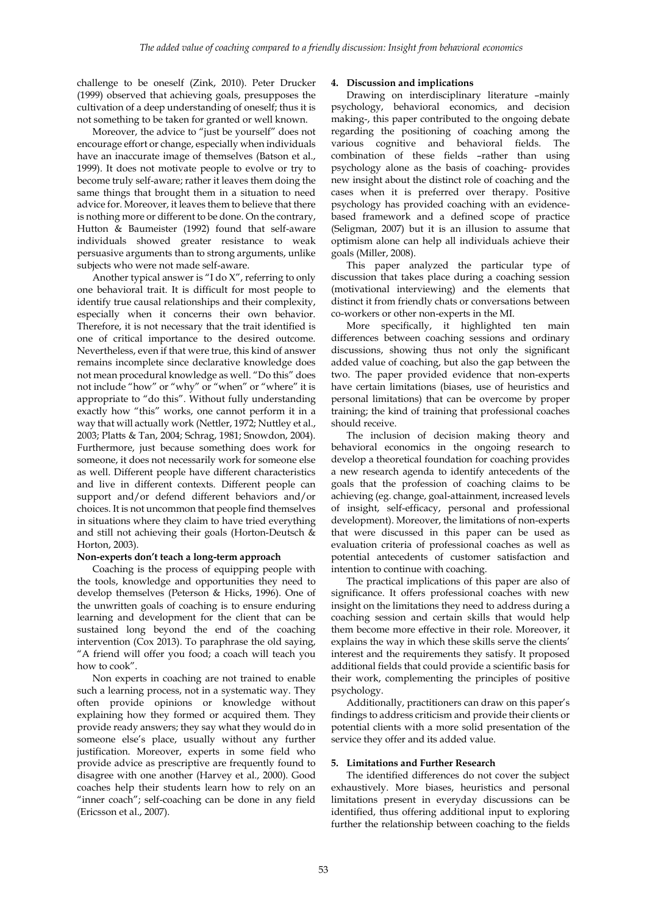challenge to be oneself (Zink, 2010). Peter Drucker (1999) observed that achieving goals, presupposes the cultivation of a deep understanding of oneself; thus it is not something to be taken for granted or well known.

Moreover, the advice to "just be yourself" does not encourage effort or change, especially when individuals have an inaccurate image of themselves (Batson et al., 1999). It does not motivate people to evolve or try to become truly self-aware; rather it leaves them doing the same things that brought them in a situation to need advice for. Moreover, it leaves them to believe that there is nothing more or different to be done. On the contrary, Hutton & Baumeister (1992) found that self-aware individuals showed greater resistance to weak persuasive arguments than to strong arguments, unlike subjects who were not made self-aware.

Another typical answer is "I do X", referring to only one behavioral trait. It is difficult for most people to identify true causal relationships and their complexity, especially when it concerns their own behavior. Therefore, it is not necessary that the trait identified is one of critical importance to the desired outcome. Nevertheless, even if that were true, this kind of answer remains incomplete since declarative knowledge does not mean procedural knowledge as well. "Do this" does not include "how" or "why" or "when" or "where" it is appropriate to "do this". Without fully understanding exactly how "this" works, one cannot perform it in a way that will actually work (Nettler, 1972; Nuttley et al., 2003; Platts & Tan, 2004; Schrag, 1981; Snowdon, 2004). Furthermore, just because something does work for someone, it does not necessarily work for someone else as well. Different people have different characteristics and live in different contexts. Different people can support and/or defend different behaviors and/or choices. It is not uncommon that people find themselves in situations where they claim to have tried everything and still not achieving their goals (Horton-Deutsch & Horton, 2003).

#### **Non-experts don't teach a long-term approach**

Coaching is the process of equipping people with the tools, knowledge and opportunities they need to develop themselves (Peterson & Hicks, 1996). One of the unwritten goals of coaching is to ensure enduring learning and development for the client that can be sustained long beyond the end of the coaching intervention (Cox 2013). To paraphrase the old saying, "A friend will offer you food; a coach will teach you how to cook".

Non experts in coaching are not trained to enable such a learning process, not in a systematic way. They often provide opinions or knowledge without explaining how they formed or acquired them. They provide ready answers; they say what they would do in someone else's place, usually without any further justification. Moreover, experts in some field who provide advice as prescriptive are frequently found to disagree with one another (Harvey et al., 2000). Good coaches help their students learn how to rely on an "inner coach"; self-coaching can be done in any field (Ericsson et al., 2007).

# **4. Discussion and implications**

Drawing on interdisciplinary literature –mainly psychology, behavioral economics, and decision making-, this paper contributed to the ongoing debate regarding the positioning of coaching among the various cognitive and behavioral fields. The combination of these fields –rather than using psychology alone as the basis of coaching- provides new insight about the distinct role of coaching and the cases when it is preferred over therapy. Positive psychology has provided coaching with an evidencebased framework and a defined scope of practice (Seligman, 2007) but it is an illusion to assume that optimism alone can help all individuals achieve their goals (Miller, 2008).

This paper analyzed the particular type of discussion that takes place during a coaching session (motivational interviewing) and the elements that distinct it from friendly chats or conversations between co-workers or other non-experts in the MI.

More specifically, it highlighted ten main differences between coaching sessions and ordinary discussions, showing thus not only the significant added value of coaching, but also the gap between the two. The paper provided evidence that non-experts have certain limitations (biases, use of heuristics and personal limitations) that can be overcome by proper training; the kind of training that professional coaches should receive.

The inclusion of decision making theory and behavioral economics in the ongoing research to develop a theoretical foundation for coaching provides a new research agenda to identify antecedents of the goals that the profession of coaching claims to be achieving (eg. change, goal-attainment, increased levels of insight, self-efficacy, personal and professional development). Moreover, the limitations of non-experts that were discussed in this paper can be used as evaluation criteria of professional coaches as well as potential antecedents of customer satisfaction and intention to continue with coaching.

The practical implications of this paper are also of significance. It offers professional coaches with new insight on the limitations they need to address during a coaching session and certain skills that would help them become more effective in their role. Moreover, it explains the way in which these skills serve the clients' interest and the requirements they satisfy. It proposed additional fields that could provide a scientific basis for their work, complementing the principles of positive psychology.

Additionally, practitioners can draw on this paper's findings to address criticism and provide their clients or potential clients with a more solid presentation of the service they offer and its added value.

#### **5. Limitations and Further Research**

The identified differences do not cover the subject exhaustively. More biases, heuristics and personal limitations present in everyday discussions can be identified, thus offering additional input to exploring further the relationship between coaching to the fields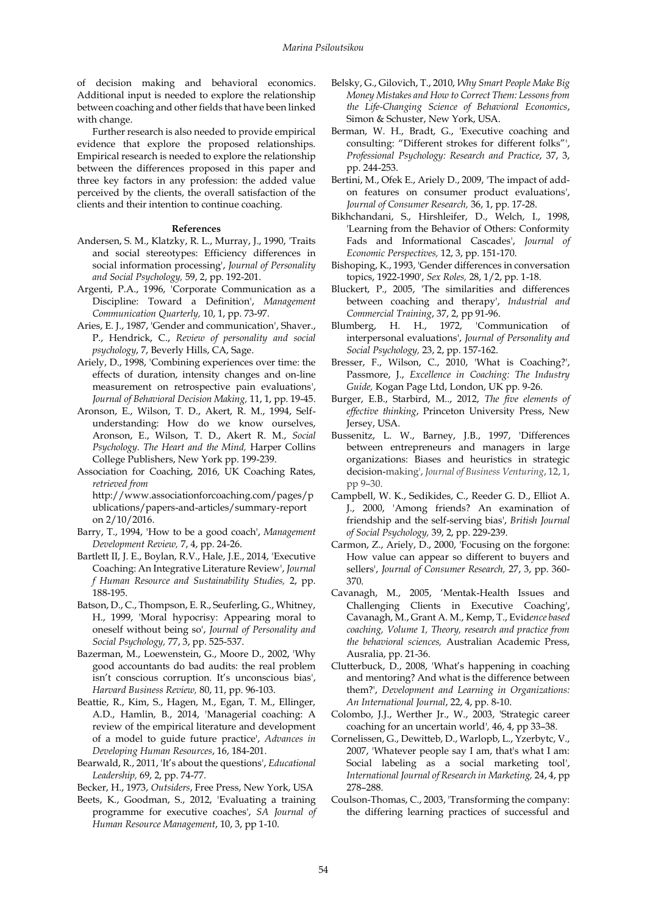of decision making and behavioral economics. Additional input is needed to explore the relationship between coaching and other fields that have been linked with change.

Further research is also needed to provide empirical evidence that explore the proposed relationships. Empirical research is needed to explore the relationship between the differences proposed in this paper and three key factors in any profession: the added value perceived by the clients, the overall satisfaction of the clients and their intention to continue coaching.

#### **References**

- Andersen, S. M., Klatzky, R. L., Murray, J., 1990, 'Traits and social stereotypes: Efficiency differences in social information processing', *Journal of Personality and Social Psychology,* 59, 2, pp. 192-201.
- Argenti, P.A., 1996, 'Corporate Communication as a Discipline: Toward a Definition', *Management Communication Quarterly,* 10, 1, pp. 73-97.
- Aries, E. J., 1987, 'Gender and communication', Shaver., P., Hendrick, C., *Review of personality and social psychology*, 7, Beverly Hills, CA, Sage.
- Ariely, D., 1998, 'Combining experiences over time: the effects of duration, intensity changes and on-line measurement on retrospective pain evaluations', *Journal of Behavioral Decision Making,* 11, 1, pp. 19-45.
- Aronson, E., Wilson, T. D., Akert, R. M., 1994, Selfunderstanding: How do we know ourselves, Aronson, E., Wilson, T. D., Akert R. M., *Social Psychology. The Heart and the Mind,* Harper Collins College Publishers, New York pp. 199-239.
- Association for Coaching, 2016, UK Coaching Rates, *retrieved from* http://www.associationforcoaching.com/pages/p ublications/papers-and-articles/summary-report

on 2/10/2016.

- Barry, T., 1994, 'How to be a good coach', *Management Development Review,* 7, 4, pp. 24-26.
- Bartlett II, J. E., Boylan, R.V., Hale, J.E., 2014, 'Executive Coaching: An Integrative Literature Review', *Journal f Human Resource and Sustainability Studies,* 2, pp. 188-195.
- Batson, D., C., Thompson, E. R., Seuferling, G., Whitney, H., 1999, 'Moral hypocrisy: Appearing moral to oneself without being so', *Journal of Personality and Social Psychology,* 77, 3, pp. 525-537.
- Bazerman, M., Loewenstein, G., Moore D., 2002, 'Why good accountants do bad audits: the real problem isn't conscious corruption. It's unconscious bias', *Harvard Business Review,* 80, 11, pp. 96-103.
- Beattie, R., Kim, S., Hagen, M., Egan, T. M., Ellinger, A.D., Hamlin, B., 2014, 'Managerial coaching: A review of the empirical literature and development of a model to guide future practice', *Advances in Developing Human Resources*, 16, 184-201.
- Bearwald, R., 2011, 'It's about the questions', *Educational Leadership,* 69, 2, pp. 74-77.

Becker, H., 1973, *Outsiders*, Free Press, New York, USA

Beets, K., Goodman, S., 2012, 'Evaluating a training programme for executive coaches', *SA Journal of Human Resource Management*, 10, 3, pp 1-10.

- [Belsky,](http://www.amazon.com/Gary-Belsky/e/B001K8I3F0/ref=dp_byline_cont_book_1) G., [Gilovich,](http://www.amazon.com/s/ref=dp_byline_sr_book_2?ie=UTF8&text=Thomas+Gilovich&search-alias=books&field-author=Thomas+Gilovich&sort=relevancerank) T., 2010, *Why Smart People Make Big Money Mistakes and How to Correct Them: Lessons from the Life-Changing Science of Behavioral Economics*, Simon & Schuster, New York, USA.
- Berman, W. H., Bradt, G., 'Executive coaching and consulting: "Different strokes for different folks"', *Professional Psychology: Research and Practice*, 37, 3, pp. 244-253.
- Bertini, M., Ofek E., Ariely D., 2009, 'The impact of addon features on consumer product evaluations', *Journal of Consumer Research,* 36, 1, pp. 17-28.
- Bikhchandani, S., Hirshleifer, D., Welch, I., 1998, 'Learning from the Behavior of Others: Conformity Fads and Informational Cascades', *Journal of Economic Perspectives,* 12, 3, pp. 151-170.
- Bishoping, K., 1993, 'Gender differences in conversation topics, 1922-1990', *Sex Roles,* 28, 1/2, pp. 1-18.
- Bluckert, P., 2005, 'The similarities and differences between coaching and therapy', *Industrial and Commercial Training*, 37, 2, pp 91-96.
- Blumberg, H. H., 1972, 'Communication of interpersonal evaluations', *Journal of Personality and Social Psychology,* 23, 2, pp. 157-162.
- Bresser, F., Wilson, C., 2010, 'What is Coaching?', Passmore, J., *Excellence in Coaching: The Industry Guide,* Kogan Page Ltd, London, UK pp. 9-26.
- Burger, E.B., Starbird, M.., 2012, *The five elements of effective thinking*, Princeton University Press, New Jersey, USA.
- Bussenitz, L. W., Barney, J.B., 1997, 'Differences between entrepreneurs and managers in large organizations: Biases and heuristics in strategic decision-making', *Journal of Business Venturing*, 12, 1, pp 9–30.
- Campbell, W. K., Sedikides, C., Reeder G. D., Elliot A. J., 2000, 'Among friends? An examination of friendship and the self-serving bias', *British Journal of Social Psychology,* 39, 2, pp. 229-239.
- Carmon, Z., Ariely, D., 2000, 'Focusing on the forgone: How value can appear so different to buyers and sellers', *Journal of Consumer Research,* 27, 3, pp. 360- 370.
- Cavanagh, M., 2005, 'Mentak-Health Issues and Challenging Clients in Executive Coaching', Cavanagh, M., Grant A. M., Kemp, T., Evid*ence based coaching, Volume 1, Theory, research and practice from the behavioral sciences,* Australian Academic Press, Ausralia, pp. 21-36.
- Clutterbuck, D., 2008, 'What's happening in coaching and mentoring? And what is the difference between them?', *Development and Learning in Organizations: An International Journal*, 22, 4, pp. 8-10.
- Colombo, J.J., Werther Jr., W., 2003, 'Strategic career coaching for an uncertain world'*,* 46, 4, pp 33–38.
- [Cornelissen,](http://www.sciencedirect.com/science/article/pii/S0167811607000420) G., [Dewitteb,](http://www.sciencedirect.com/science/article/pii/S0167811607000420) D.[, Warlopb,](http://www.sciencedirect.com/science/article/pii/S0167811607000420) L., [Yzerbytc,](http://www.sciencedirect.com/science/article/pii/S0167811607000420) V., 2007, 'Whatever people say I am, that's what I am: Social labeling as a social marketing tool', *International Journal of Research in Marketing,* 24, 4, pp 278–288.
- Coulson-Thomas, C., 2003, 'Transforming the company: the differing learning practices of successful and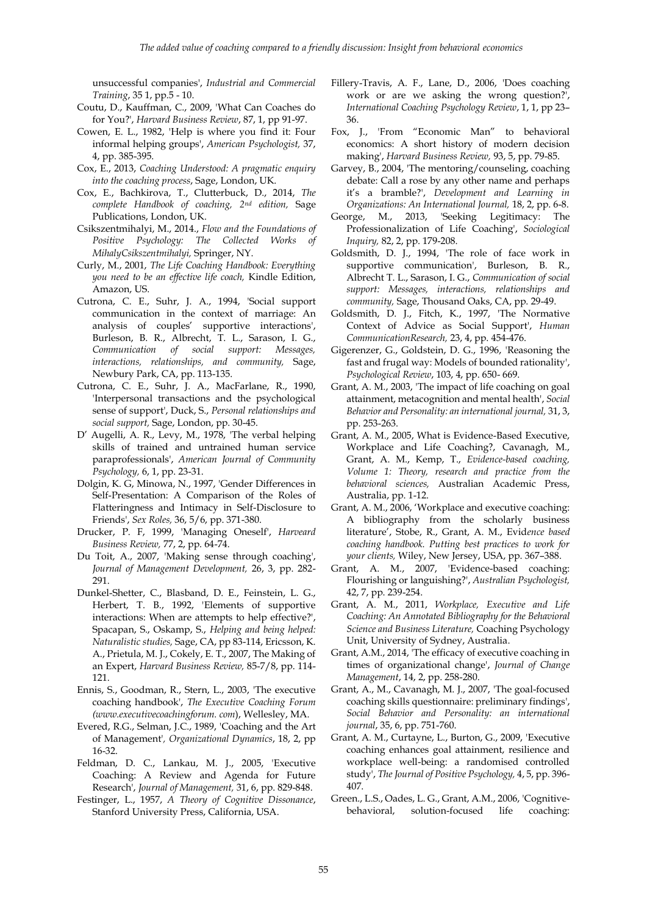unsuccessful companies', *Industrial and Commercial Training*, 35 1, pp.5 - 10.

- Coutu, D., Kauffman, C., 2009, 'What Can Coaches do for You?', *Harvard Business Review*, 87, 1, pp 91-97.
- Cowen, E. L., 1982, 'Help is where you find it: Four informal helping groups', *American Psychologist,* 37, 4, pp. 385-395.
- Cox, E., 2013, *Coaching Understood: A pragmatic enquiry into the coaching process*, Sage, London, UK.
- Cox, E., Bachkirova, T., Clutterbuck, D., 2014, *The complete Handbook of coaching, 2nd edition,* Sage Publications, London, UK.
- Csikszentmihalyi, M., 2014., *Flow and the Foundations of Positive Psychology: The Collected Works of MihalyCsikszentmihalyi,* Springer, NY.
- Curly, M., 2001, *The Life Coaching Handbook: Everything you need to be an effective life coach,* Kindle Edition, Amazon, US.
- Cutrona, C. E., Suhr, J. A., 1994, 'Social support communication in the context of marriage: An analysis of couples' supportive interactions', Burleson, B. R., Albrecht, T. L., Sarason, I. G., *Communication of social support: Messages, interactions, relationships, and community,* Sage, Newbury Park, CA, pp. 113-135.
- Cutrona, C. E., Suhr, J. A., MacFarlane, R., 1990, 'Interpersonal transactions and the psychological sense of support', Duck, S., *Personal relationships and social support,* Sage, London, pp. 30-45.
- D' Augelli, A. R., Levy, M., 1978, 'The verbal helping skills of trained and untrained human service paraprofessionals', *American Journal of Community Psychology,* 6, 1, pp. 23-31.
- Dolgin, K. G, Minowa, N., 1997, 'Gender Differences in Self-Presentation: A Comparison of the Roles of Flatteringness and Intimacy in Self-Disclosure to Friends', *Sex Roles,* 36, 5/6, pp. 371-380.
- Drucker, P. F, 1999, 'Managing Oneself', *Harveard Business Review,* 77, 2, pp. 64-74.
- Du Toit, A., 2007, 'Making sense through coaching', *Journal of Management Development,* 26, 3, pp. 282- 291.
- Dunkel-Shetter, C., Blasband, D. E., Feinstein, L. G., Herbert, T. B., 1992, 'Elements of supportive interactions: When are attempts to help effective?', Spacapan, S., Oskamp, S., *Helping and being helped: Naturalistic studies,* Sage, CA, pp 83-114, Ericsson, K. A., Prietula, M. J., Cokely, E. T., 2007, The Making of an Expert, *Harvard Business Review,* 85-7/8, pp. 114- 121.
- Ennis, S., Goodman, R., Stern, L., 2003, 'The executive coaching handbook', *The Executive Coaching Forum (www.executivecoachingforum. com*), Wellesley, MA.
- Evered, R.G., Selman, J.C., 1989, 'Coaching and the Art of Management'*, Organizational Dynamics*, 18, 2, pp 16-32.
- Feldman, D. C., Lankau, M. J., 2005, 'Executive Coaching: A Review and Agenda for Future Research', *Journal of Management,* 31, 6, pp. 829-848.
- Festinger, L., 1957, *A Theory of Cognitive Dissonance*, Stanford University Press, California, USA.
- Fillery-Travis, A. F., Lane, D., 2006, 'Does coaching work or are we asking the wrong question?', *International Coaching Psychology Review*, 1, 1, pp 23– 36.
- Fox, J., 'From "Economic Man" to behavioral economics: A short history of modern decision making', *Harvard Business Review,* 93, 5, pp. 79-85.
- Garvey, B., 2004, 'The mentoring/counseling, coaching debate: Call a rose by any other name and perhaps it's a bramble?', *Development and Learning in Organizations: An International Journal,* 18, 2, pp. 6-8.
- George, M., 2013, 'Seeking Legitimacy: The Professionalization of Life Coaching', *Sociological Inquiry,* 82, 2, pp. 179-208.
- Goldsmith, D. J., 1994, 'The role of face work in supportive communication', Burleson, B. R., Albrecht T. L., Sarason, I. G., *Communication of social support: Messages, interactions, relationships and community,* Sage, Thousand Oaks, CA, pp. 29-49.
- Goldsmith, D. J., Fitch, K., 1997, 'The Normative Context of Advice as Social Support', *Human CommunicationResearch,* 23, 4, pp. 454-476.
- Gigerenzer, G., Goldstein, D. G., 1996, 'Reasoning the fast and frugal way: Models of bounded rationality', *Psychological Review*, 103, 4, pp. 650- 669.
- Grant, A. M., 2003, 'The impact of life coaching on goal attainment, metacognition and mental health', *Social Behavior and Personality: an international journal,* 31, 3, pp. 253-263.
- Grant, A. M., 2005, What is Evidence-Based Executive, Workplace and Life Coaching?, Cavanagh, M., Grant, A. M., Kemp, T., *Evidence-based coaching, Volume 1: Theory, research and practice from the behavioral sciences,* Australian Academic Press, Australia, pp. 1-12.
- Grant, A. M., 2006, 'Workplace and executive coaching: A bibliography from the scholarly business literature', Stobe, R., Grant, A. M., Evid*ence based coaching handbook. Putting best practices to work for your clients,* Wiley, New Jersey, USA, pp. 367–388.
- Grant, A. M., 2007, 'Evidence-based coaching: Flourishing or languishing?', *Australian Psychologist,*  42, 7, pp. 239-254.
- Grant, A. M., 2011, *Workplace, Executive and Life Coaching: An Annotated Bibliography for the Behavioral Science and Business Literature,* Coaching Psychology Unit, University of Sydney, Australia.
- Grant, A.M., 2014, 'The efficacy of executive coaching in times of organizational change', *Journal of Change Management*, 14, 2, pp. 258-280.
- Grant, A., M., Cavanagh, M. J., 2007, 'The goal-focused coaching skills questionnaire: preliminary findings', *Social Behavior and Personality: an international journal*, 35, 6, pp. 751-760.
- Grant, A. M., Curtayne, L., Burton, G., 2009, 'Executive coaching enhances goal attainment, resilience and workplace well-being: a randomised controlled study', *The Journal of Positive Psychology,* 4, 5, pp. 396- 407.
- Green., L.S., Oades, L. G., Grant, A.M., 2006, 'Cognitivebehavioral, solution-focused life coaching: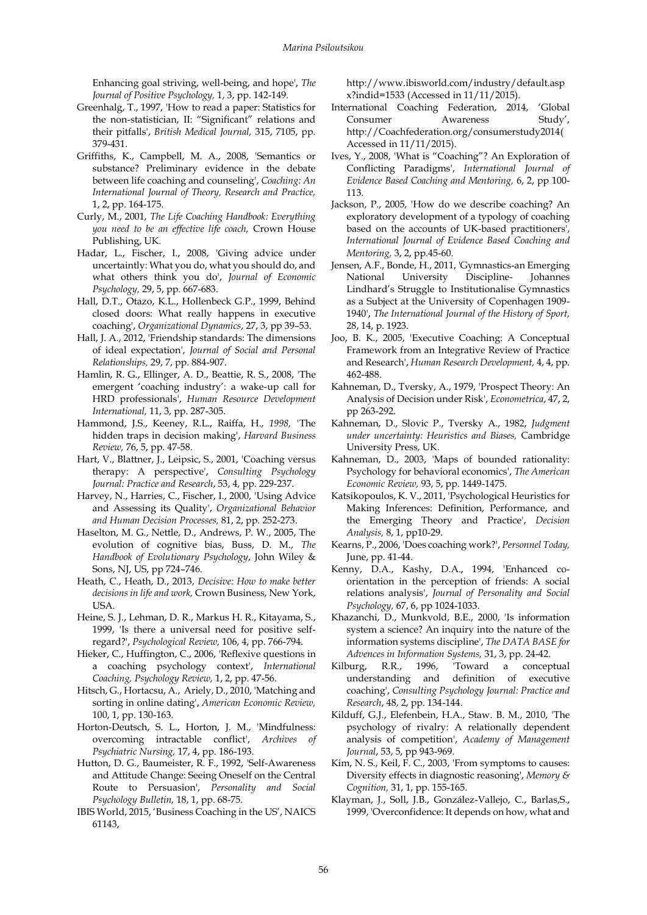Enhancing goal striving, well-being, and hope', *The Journal of Positive Psychology,* 1, 3, pp. 142-149.

- Greenhalg, T., 1997, 'How to read a paper: Statistics for the non-statistician, II: "Significant" relations and their pitfalls', *British Medical Journal,* 315, 7105, pp. 379-431.
- Griffiths, K., Campbell, M. A., 2008, 'Semantics or substance? Preliminary evidence in the debate between life coaching and counseling', *Coaching: An International Journal of Theory, Research and Practice,*  1, 2, pp. 164-175.
- Curly, M., 2001, *The Life Coaching Handbook: Everything you need to be an effective life coach,* Crown House Publishing, UK.
- Hadar, L., Fischer, I., 2008, 'Giving advice under uncertaintly: What you do, what you should do, and what others think you do', *Journal of Economic Psychology,* 29, 5, pp. 667-683.
- Hall, D.T., Otazo, K.L., Hollenbeck G.P., 1999, Behind closed doors: What really happens in executive coaching', *Organizational Dynamics*, 27, 3, pp 39–53.
- Hall, J. A., 2012, 'Friendship standards: The dimensions of ideal expectation', *Journal of Social and Personal Relationships,* 29, 7, pp. 884-907.
- Hamlin, R. G., Ellinger, A. D., Beattie, R. S., 2008, 'The emergent 'coaching industry': a wake-up call for HRD professionals', *Human Resource Development International,* 11, 3, pp. 287-305.
- Hammond, J.S., Keeney, R.L., Raiffa, H., *1998, '*The hidden traps in decision making', *Harvard Business Review,* 76, 5, pp. 47-58.
- Hart, V., Blattner, J., Leipsic, S., 2001, 'Coaching versus therapy: A perspective', *Consulting Psychology Journal: Practice and Research*, 53, 4, pp. 229-237.
- Harvey, N., Harries, C., Fischer, I., 2000, 'Using Advice and Assessing its Quality', *Organizational Behavior and Human Decision Processes,* 81, 2, pp. 252-273.
- Haselton, M. G., Nettle, D., Andrews, P. W., 2005, The evolution of cognitive bias, Buss, D. M., *The Handbook of Evolutionary Psychology*, John Wiley & Sons, NJ, US, pp 724–746.
- Heath, C., Heath, D., 2013, *Decisive: How to make better decisions in life and work,* Crown Business, New York, USA.
- Heine, S. J., Lehman, D. R., Markus H. R., Kitayama, S., 1999, 'Is there a universal need for positive selfregard?', *Psychological Review,* 106, 4, pp. 766-794.
- Hieker, C., Huffington, C., 2006, 'Reflexive questions in a coaching psychology context', *International Coaching, Psychology Review,* 1, 2, pp. 47-56.
- Hitsch, G., Hortacsu, A., Ariely, D., 2010, 'Matching and sorting in online dating', *American Economic Review,*  100, 1, pp. 130-163.
- Horton-Deutsch, S. L., Horton, J. M., 'Mindfulness: overcoming intractable conflict', *Archives of Psychiatric Nursing,* 17, 4, pp. 186-193.
- Hutton, D. G., Baumeister, R. F., 1992, 'Self-Awareness and Attitude Change: Seeing Oneself on the Central Route to Persuasion', *Personality and Social Psychology Bulletin,* 18, 1, pp. 68-75.
- IBIS World, 2015, 'Business Coaching in the US', NAICS 61143,

http://www.ibisworld.com/industry/default.asp x?indid=1533 (Accessed in 11/11/2015).

- International Coaching Federation, 2014, 'Global Consumer Awareness Study', http://Coachfederation.org/consumerstudy2014( Accessed in 11/11/2015).
- Ives, Y., 2008, 'What is "Coaching"? An Exploration of Conflicting Paradigms', *International Journal of Evidence Based Coaching and Mentoring,* 6, 2, pp 100- 113.
- Jackson, P., 2005, 'How do we describe coaching? An exploratory development of a typology of coaching based on the accounts of UK-based practitioners', *International Journal of Evidence Based Coaching and Mentoring,* 3, 2, pp.45-60.
- Jensen, A.F., Bonde, H., 2011, 'Gymnastics-an Emerging National University Discipline- Johannes Lindhard's Struggle to Institutionalise Gymnastics as a Subject at the University of Copenhagen 1909- 1940', *The International Journal of the History of Sport,*  28, 14, p. 1923.
- Joo, B. K., 2005, 'Executive Coaching: A Conceptual Framework from an Integrative Review of Practice and Research', *Human Research Development,* 4, 4, pp. 462-488.
- Kahneman, D., Tversky, A., 1979, 'Prospect Theory: An Analysis of Decision under Risk', *Econometrica*, 47, 2, pp 263-292.
- Kahneman, D., Slovic P., Tversky A., 1982, *Judgment under uncertainty: Heuristics and Biases,* Cambridge University Press, UK.
- Kahneman, D., 2003, 'Maps of bounded rationality: Psychology for behavioral economics', *The American Economic Review,* 93, 5, pp. 1449-1475.
- Katsikopoulos, K. V., 2011, 'Psychological Heuristics for Making Inferences: Definition, Performance, and the Emerging Theory and Practice', *Decision Analysis,* 8, 1, pp10-29.
- Kearns, P., 2006, 'Does coaching work?', *Personnel Today,*  June, pp. 41-44.
- Kenny, D.A., Kashy, D.A., 1994, 'Enhanced coorientation in the perception of friends: A social relations analysis', *Journal of Personality and Social Psychology,* 67, 6, pp 1024-1033.
- Khazanchi, D., Munkvold, B.E., 2000, 'Is information system a science? An inquiry into the nature of the information systems discipline', *The DATA BASE for Advences in Information Systems,* 31, 3, pp. 24-42.
- Kilburg, R.R., 1996, 'Toward a conceptual understanding and definition of executive coaching', *Consulting Psychology Journal: Practice and Research*, 48, 2, pp. 134-144.
- Kilduff, G.J., Elefenbein, H.A., Staw. B. M., 2010, 'The psychology of rivalry: A relationally dependent analysis of competition', *Academy of Management Journal*, 53, 5, pp 943-969.
- Kim, N. S., Keil, F. C., 2003, 'From symptoms to causes: Diversity effects in diagnostic reasoning', *Memory & Cognition,* 31, 1, pp. 155-165.
- Klayman, J., Soll, J.B., González-Vallejo, C., Barlas,S., 1999, 'Overconfidence: It depends on how, what and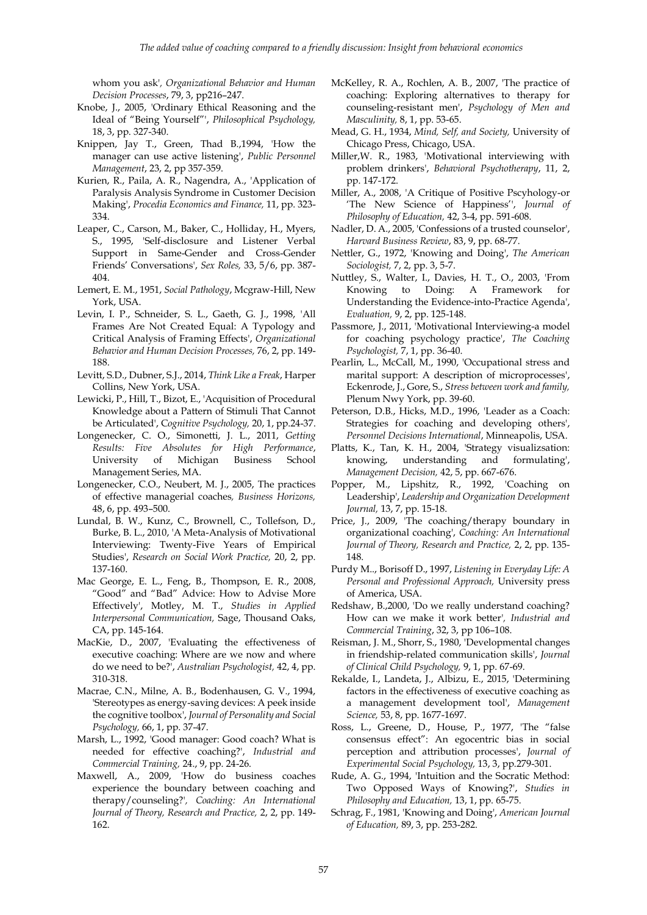whom you ask'*, Organizational Behavior and Human Decision Processes*, 79, 3, pp216–247.

- Knobe, J., 2005, 'Ordinary Ethical Reasoning and the Ideal of "Being Yourself"', *Philosophical Psychology,*  18, 3, pp. 327-340.
- Knippen, Jay T., Green, Thad B.,1994, 'How the manager can use active listening', *Public Personnel Management*, 23, 2, pp 357-359.
- Kurien, R., Paila, A. R., Nagendra, A., 'Application of Paralysis Analysis Syndrome in Customer Decision Making', *Procedia Economics and Finance,* 11, pp. 323- 334.
- Leaper, C., Carson, M., Baker, C., Holliday, H., Myers, S., 1995, 'Self-disclosure and Listener Verbal Support in Same-Gender and Cross-Gender Friends' Conversations', *Sex Roles,* 33, 5/6, pp. 387- 404.
- Lemert, E. M., 1951, *Social Pathology*, Mcgraw-Hill, New York, USA.
- Levin, I. P., Schneider, S. L., Gaeth, G. J., 1998, 'All Frames Are Not Created Equal: A Typology and Critical Analysis of Framing Effects', *Organizational Behavior and Human Decision Processes,* 76, 2, pp. 149- 188.
- Levitt, S.D., Dubner, S.J., 2014, *Think Like a Freak*, Harper Collins, New York, USA.
- Lewicki, P., Hill, T., Bizot, E., 'Acquisition of Procedural Knowledge about a Pattern of Stimuli That Cannot be Articulated', C*ognitive Psychology,* 20, 1, pp.24-37.
- Longenecker, C. O., Simonetti, J. L., 2011, *Getting Results: Five Absolutes for High Performance*, University of Michigan Business School Management Series, MA.
- Longenecker, C.O., Neubert, M. J., 2005, The practices of effective managerial coaches*, Business Horizons,*  48, 6, pp. 493–500.
- Lundal, B. W., Kunz, C., Brownell, C., Tollefson, D., Burke, B. L., 2010, 'A Meta-Analysis of Motivational Interviewing: Twenty-Five Years of Empirical Studies', *Research on Social Work Practice,* 20, 2, pp. 137-160.
- Mac George, E. L., Feng, B., Thompson, E. R., 2008, "Good" and "Bad" Advice: How to Advise More Effectively', Motley, M. T., *Studies in Applied Interpersonal Communication,* Sage, Thousand Oaks, CA, pp. 145-164.
- MacKie, D., 2007, 'Evaluating the effectiveness of executive coaching: Where are we now and where do we need to be?', *Australian Psychologist,* 42, 4, pp. 310-318.
- Macrae, C.N., Milne, A. B., Bodenhausen, G. V., 1994, 'Stereotypes as energy-saving devices: A peek inside the cognitive toolbox', *Journal of Personality and Social Psychology,* 66, 1, pp. 37-47.
- Marsh, L., 1992, 'Good manager: Good coach? What is needed for effective coaching?', *Industrial and Commercial Training,* 24., 9, pp. 24-26.
- Maxwell, A., 2009, 'How do business coaches experience the boundary between coaching and therapy/counseling?'*, Coaching: An International Journal of Theory, Research and Practice,* 2, 2, pp. 149- 162.
- McKelley, R. A., Rochlen, A. B., 2007, 'The practice of coaching: Exploring alternatives to therapy for counseling-resistant men', *Psychology of Men and Masculinity,* 8, 1, pp. 53-65.
- Mead, G. H., 1934, *Mind, Self, and Society,* University of Chicago Press, Chicago, USA.
- Miller,W. R., 1983, 'Motivational interviewing with problem drinkers', *Behavioral Psychotherapy*, 11, 2, pp. 147-172.
- Miller, A., 2008, 'A Critique of Positive Pscyhology-or 'The New Science of Happiness'', *Journal of Philosophy of Education,* 42, 3-4, pp. 591-608.
- Nadler, D. A., 2005, 'Confessions of a trusted counselor', *Harvard Business Review*, 83, 9, pp. 68-77.
- Nettler, G., 1972, 'Knowing and Doing', *The American Sociologist,* 7, 2, pp. 3, 5-7.
- Nuttley, S., Walter, I., Davies, H. T., O., 2003, 'From Knowing to Doing: A Framework for Understanding the Evidence-into-Practice Agenda', *Evaluation,* 9, 2, pp. 125-148.
- Passmore, J., 2011, 'Motivational Interviewing-a model for coaching psychology practice', *The Coaching Psychologist,* 7, 1, pp. 36-40.
- Pearlin, L., McCall, M., 1990, 'Occupational stress and marital support: A description of microprocesses', Eckenrode, J., Gore, S., *Stress between work and family,*  Plenum Nwy York, pp. 39-60.
- Peterson, D.B., Hicks, M.D., 1996, 'Leader as a Coach: Strategies for coaching and developing others', *Personnel Decisions International*, Minneapolis, USA.
- Platts, K., Tan, K. H., 2004, 'Strategy visualizsation: knowing, understanding and formulating', *Management Decision,* 42, 5, pp. 667-676.
- Popper, M., Lipshitz, R., 1992, 'Coaching on Leadership', *Leadership and Organization Development Journal,* 13, 7, pp. 15-18.
- Price, J., 2009, 'The coaching/therapy boundary in organizational coaching', *Coaching: An International Journal of Theory, Research and Practice,* 2, 2, pp. 135- 148.
- Purdy M.., Borisoff D., 1997, *Listening in Everyday Life: A Personal and Professional Approach,* University press of America, USA.
- Redshaw, B.,2000, 'Do we really understand coaching? How can we make it work better'*, Industrial and Commercial Training*, 32, 3, pp 106–108.
- Reisman, J. M., Shorr, S., 1980, 'Developmental changes in friendship-related communication skills', *Journal of Clinical Child Psychology,* 9, 1, pp. 67-69.
- Rekalde, I., Landeta, J., Albizu, E., 2015, 'Determining factors in the effectiveness of executive coaching as a management development tool', *Management Science,* 53, 8, pp. 1677-1697.
- Ross, L., Greene, D., House, P., 1977, 'The "false consensus effect": An egocentric bias in social perception and attribution processes', *Journal of Experimental Social Psychology,* 13, 3, pp.279-301.
- Rude, A. G., 1994, 'Intuition and the Socratic Method: Two Opposed Ways of Knowing?', *Studies in Philosophy and Education,* 13, 1, pp. 65-75.
- Schrag, F., 1981, 'Knowing and Doing', *American Journal of Education,* 89, 3, pp. 253-282.